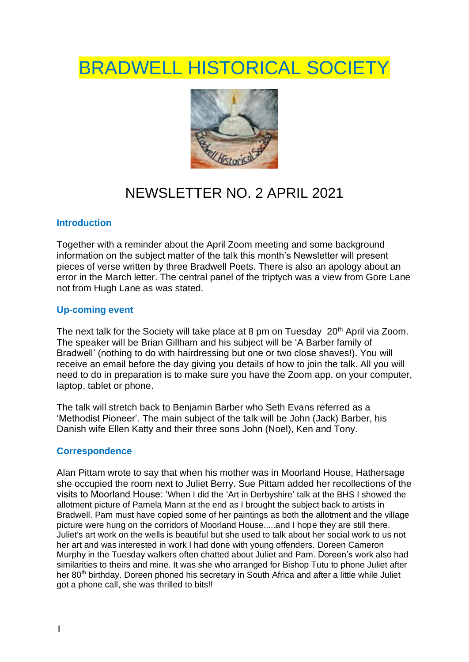# BRADWELL HISTORICAL SOCIETY



# NEWSLETTER NO. 2 APRIL 2021

# **Introduction**

Together with a reminder about the April Zoom meeting and some background information on the subject matter of the talk this month's Newsletter will present pieces of verse written by three Bradwell Poets. There is also an apology about an error in the March letter. The central panel of the triptych was a view from Gore Lane not from Hugh Lane as was stated.

# **Up-coming event**

The next talk for the Society will take place at 8 pm on Tuesday 20<sup>th</sup> April via Zoom. The speaker will be Brian Gillham and his subject will be 'A Barber family of Bradwell' (nothing to do with hairdressing but one or two close shaves!). You will receive an email before the day giving you details of how to join the talk. All you will need to do in preparation is to make sure you have the Zoom app. on your computer, laptop, tablet or phone.

The talk will stretch back to Benjamin Barber who Seth Evans referred as a 'Methodist Pioneer'. The main subject of the talk will be John (Jack) Barber, his Danish wife Ellen Katty and their three sons John (Noel), Ken and Tony.

# **Correspondence**

Alan Pittam wrote to say that when his mother was in Moorland House, Hathersage she occupied the room next to Juliet Berry. Sue Pittam added her recollections of the visits to Moorland House: 'When I did the 'Art in Derbyshire' talk at the BHS I showed the allotment picture of Pamela Mann at the end as I brought the subject back to artists in Bradwell. Pam must have copied some of her paintings as both the allotment and the village picture were hung on the corridors of Moorland House.....and I hope they are still there. Juliet's art work on the wells is beautiful but she used to talk about her social work to us not her art and was interested in work I had done with young offenders. Doreen Cameron Murphy in the Tuesday walkers often chatted about Juliet and Pam. Doreen's work also had similarities to theirs and mine. It was she who arranged for Bishop Tutu to phone Juliet after her 80<sup>th</sup> birthday. Doreen phoned his secretary in South Africa and after a little while Juliet got a phone call, she was thrilled to bits!!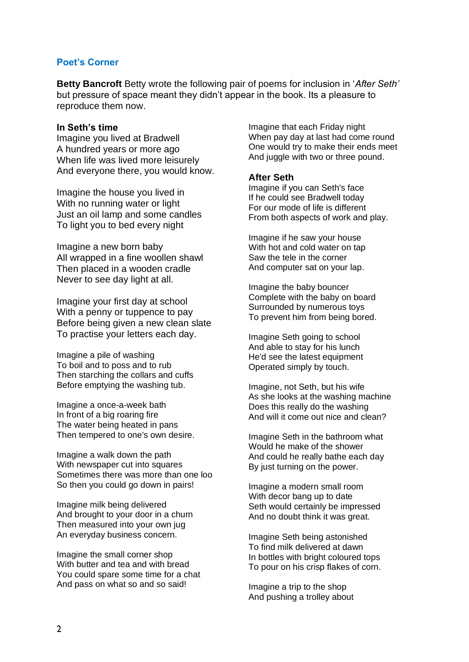#### **Poet's Corner**

**Betty Bancroft** Betty wrote the following pair of poems for inclusion in '*After Seth'* but pressure of space meant they didn't appear in the book. Its a pleasure to reproduce them now.

#### **In Seth's time**

Imagine you lived at Bradwell A hundred years or more ago When life was lived more leisurely And everyone there, you would know.

Imagine the house you lived in With no running water or light Just an oil lamp and some candles To light you to bed every night

Imagine a new born baby All wrapped in a fine woollen shawl Then placed in a wooden cradle Never to see day light at all.

Imagine your first day at school With a penny or tuppence to pay Before being given a new clean slate To practise your letters each day.

Imagine a pile of washing To boil and to poss and to rub Then starching the collars and cuffs Before emptying the washing tub.

Imagine a once-a-week bath In front of a big roaring fire The water being heated in pans Then tempered to one's own desire.

Imagine a walk down the path With newspaper cut into squares Sometimes there was more than one loo So then you could go down in pairs!

Imagine milk being delivered And brought to your door in a churn Then measured into your own jug An everyday business concern.

Imagine the small corner shop With butter and tea and with bread You could spare some time for a chat And pass on what so and so said!

Imagine that each Friday night When pay day at last had come round One would try to make their ends meet And juggle with two or three pound.

#### **After Seth**

Imagine if you can Seth's face If he could see Bradwell today For our mode of life is different From both aspects of work and play.

Imagine if he saw your house With hot and cold water on tap Saw the tele in the corner And computer sat on your lap.

Imagine the baby bouncer Complete with the baby on board Surrounded by numerous toys To prevent him from being bored.

Imagine Seth going to school And able to stay for his lunch He'd see the latest equipment Operated simply by touch.

Imagine, not Seth, but his wife As she looks at the washing machine Does this really do the washing And will it come out nice and clean?

Imagine Seth in the bathroom what Would he make of the shower And could he really bathe each day By just turning on the power.

Imagine a modern small room With decor bang up to date Seth would certainly be impressed And no doubt think it was great.

Imagine Seth being astonished To find milk delivered at dawn In bottles with bright coloured tops To pour on his crisp flakes of corn.

Imagine a trip to the shop And pushing a trolley about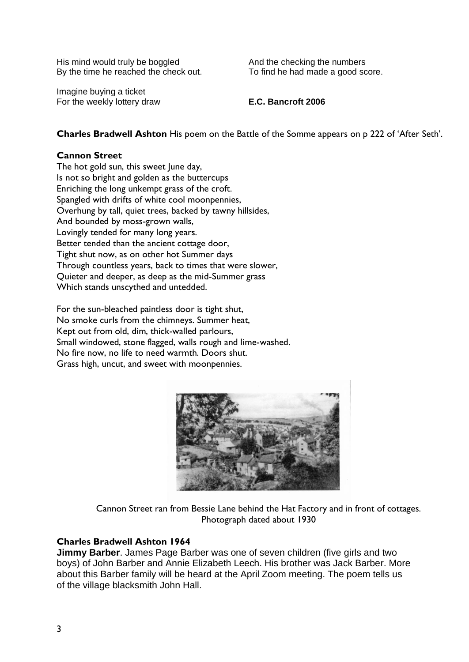His mind would truly be boggled By the time he reached the check out.

Imagine buying a ticket For the weekly lottery draw And the checking the numbers To find he had made a good score.

# **E.C. Bancroft 2006**

**Charles Bradwell Ashton** His poem on the Battle of the Somme appears on p 222 of 'After Seth'.

#### **Cannon Street**

The hot gold sun, this sweet lune day, Is not so bright and golden as the buttercups Enriching the long unkempt grass of the croft. Spangled with drifts of white cool moonpennies, Overhung by tall, quiet trees, backed by tawny hillsides, And bounded by moss-grown walls, Lovingly tended for many long years. Better tended than the ancient cottage door, Tight shut now, as on other hot Summer days Through countless years, back to times that were slower, Quieter and deeper, as deep as the mid-Summer grass Which stands unscythed and untedded.

For the sun-bleached paintless door is tight shut, No smoke curls from the chimneys. Summer heat, Kept out from old, dim, thick-walled parlours, Small windowed, stone flagged, walls rough and lime-washed. No fire now, no life to need warmth. Doors shut. Grass high, uncut, and sweet with moonpennies.



Cannon Street ran from Bessie Lane behind the Hat Factory and in front of cottages. Photograph dated about 1930

# **Charles Bradwell Ashton 1964**

**Jimmy Barber**. James Page Barber was one of seven children (five girls and two boys) of John Barber and Annie Elizabeth Leech. His brother was Jack Barber. More about this Barber family will be heard at the April Zoom meeting. The poem tells us of the village blacksmith John Hall.